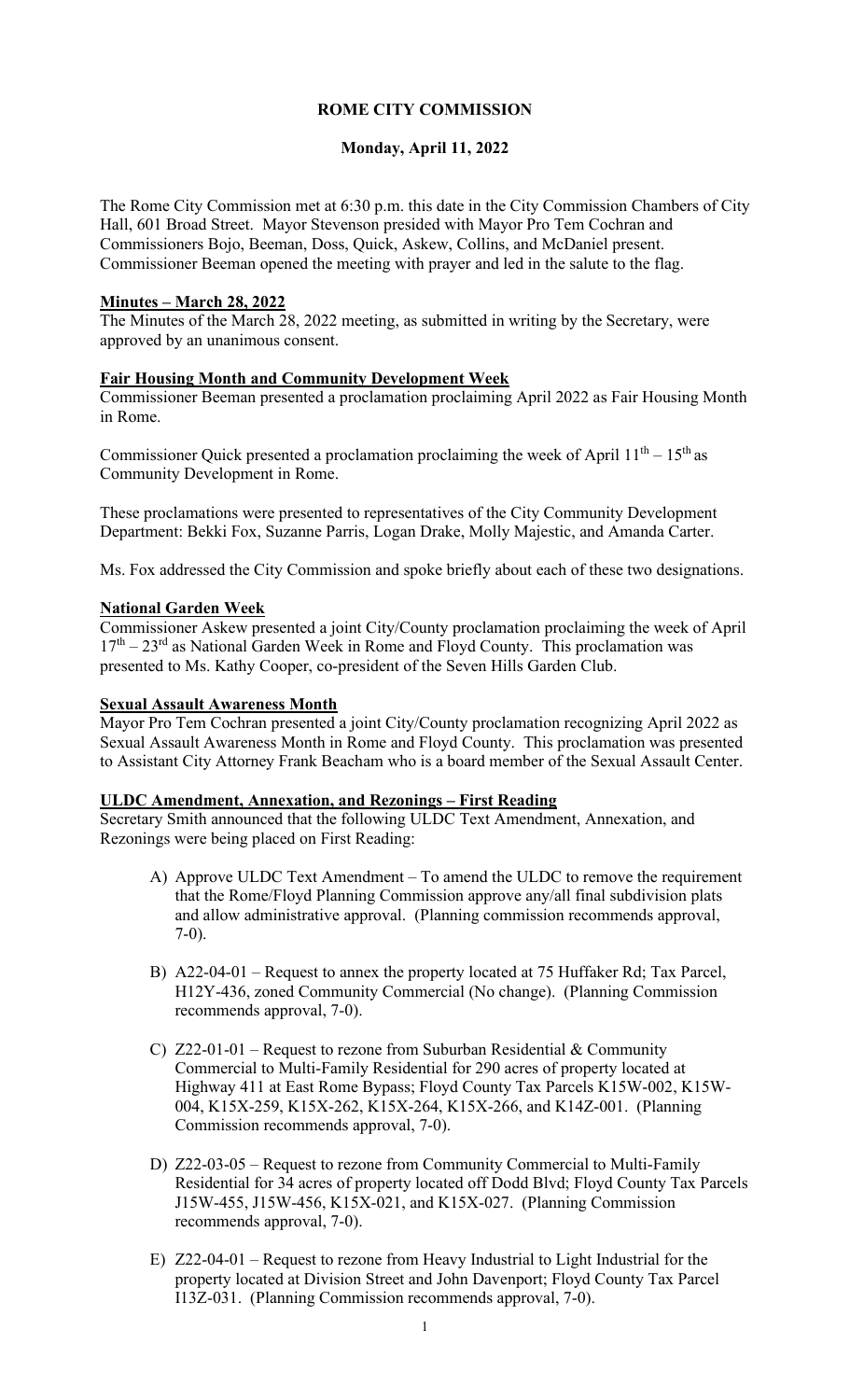# **ROME CITY COMMISSION**

# **Monday, April 11, 2022**

The Rome City Commission met at 6:30 p.m. this date in the City Commission Chambers of City Hall, 601 Broad Street. Mayor Stevenson presided with Mayor Pro Tem Cochran and Commissioners Bojo, Beeman, Doss, Quick, Askew, Collins, and McDaniel present. Commissioner Beeman opened the meeting with prayer and led in the salute to the flag.

#### **Minutes – March 28, 2022**

The Minutes of the March 28, 2022 meeting, as submitted in writing by the Secretary, were approved by an unanimous consent.

#### **Fair Housing Month and Community Development Week**

Commissioner Beeman presented a proclamation proclaiming April 2022 as Fair Housing Month in Rome.

Commissioner Quick presented a proclamation proclaiming the week of April  $11^{th} - 15^{th}$  as Community Development in Rome.

These proclamations were presented to representatives of the City Community Development Department: Bekki Fox, Suzanne Parris, Logan Drake, Molly Majestic, and Amanda Carter.

Ms. Fox addressed the City Commission and spoke briefly about each of these two designations.

#### **National Garden Week**

Commissioner Askew presented a joint City/County proclamation proclaiming the week of April  $17<sup>th</sup> - 23<sup>rd</sup>$  as National Garden Week in Rome and Floyd County. This proclamation was presented to Ms. Kathy Cooper, co-president of the Seven Hills Garden Club.

#### **Sexual Assault Awareness Month**

Mayor Pro Tem Cochran presented a joint City/County proclamation recognizing April 2022 as Sexual Assault Awareness Month in Rome and Floyd County. This proclamation was presented to Assistant City Attorney Frank Beacham who is a board member of the Sexual Assault Center.

#### **ULDC Amendment, Annexation, and Rezonings – First Reading**

Secretary Smith announced that the following ULDC Text Amendment, Annexation, and Rezonings were being placed on First Reading:

- A) Approve ULDC Text Amendment To amend the ULDC to remove the requirement that the Rome/Floyd Planning Commission approve any/all final subdivision plats and allow administrative approval. (Planning commission recommends approval, 7-0).
- B) A22-04-01 Request to annex the property located at 75 Huffaker Rd; Tax Parcel, H12Y-436, zoned Community Commercial (No change). (Planning Commission recommends approval, 7-0).
- C) Z22-01-01 Request to rezone from Suburban Residential & Community Commercial to Multi-Family Residential for 290 acres of property located at Highway 411 at East Rome Bypass; Floyd County Tax Parcels K15W-002, K15W-004, K15X-259, K15X-262, K15X-264, K15X-266, and K14Z-001. (Planning Commission recommends approval, 7-0).
- D) Z22-03-05 Request to rezone from Community Commercial to Multi-Family Residential for 34 acres of property located off Dodd Blvd; Floyd County Tax Parcels J15W-455, J15W-456, K15X-021, and K15X-027. (Planning Commission recommends approval, 7-0).
- E) Z22-04-01 Request to rezone from Heavy Industrial to Light Industrial for the property located at Division Street and John Davenport; Floyd County Tax Parcel I13Z-031. (Planning Commission recommends approval, 7-0).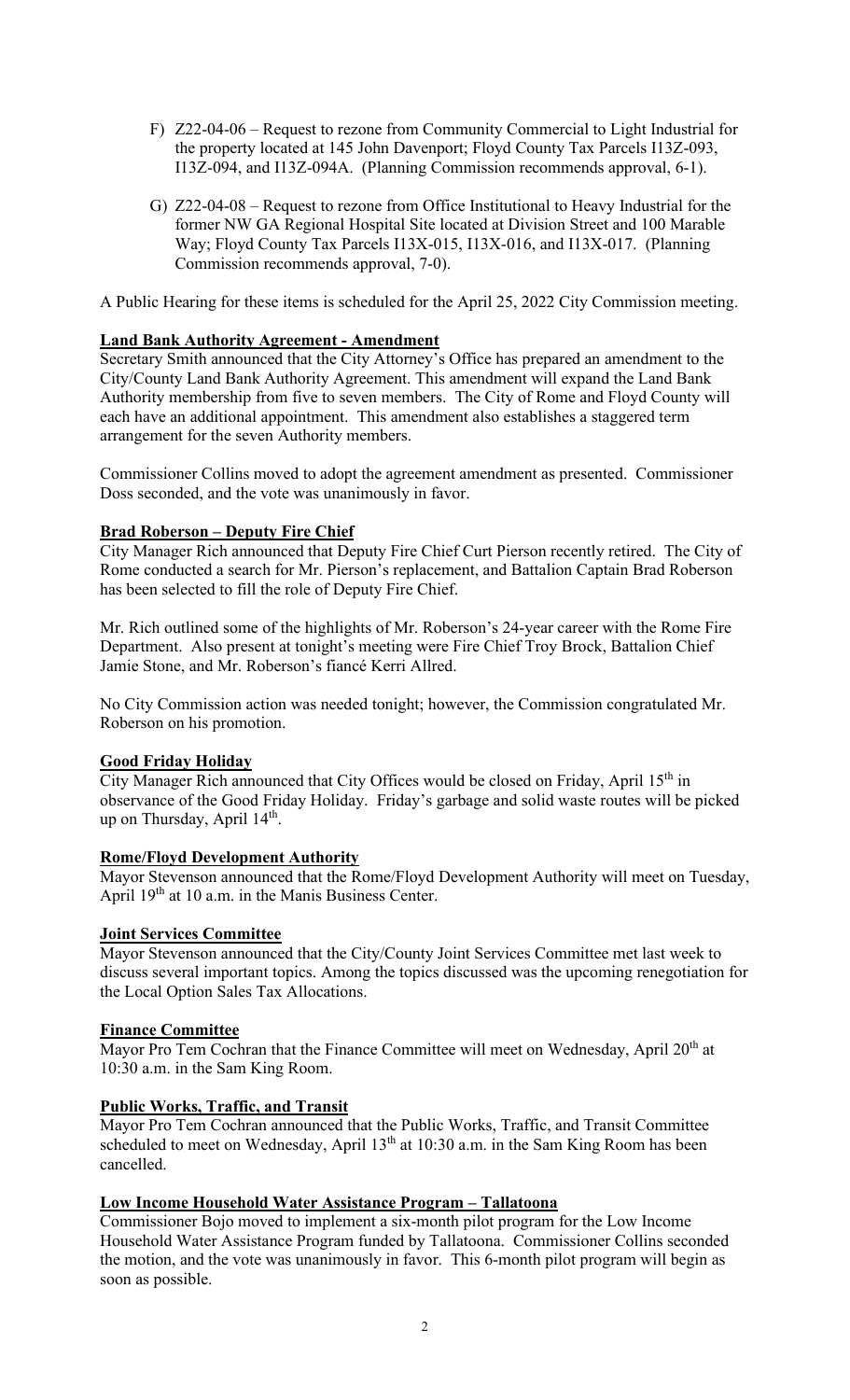- F) Z22-04-06 Request to rezone from Community Commercial to Light Industrial for the property located at 145 John Davenport; Floyd County Tax Parcels I13Z-093, I13Z-094, and I13Z-094A. (Planning Commission recommends approval, 6-1).
- G) Z22-04-08 Request to rezone from Office Institutional to Heavy Industrial for the former NW GA Regional Hospital Site located at Division Street and 100 Marable Way; Floyd County Tax Parcels I13X-015, I13X-016, and I13X-017. (Planning Commission recommends approval, 7-0).

A Public Hearing for these items is scheduled for the April 25, 2022 City Commission meeting.

## **Land Bank Authority Agreement - Amendment**

Secretary Smith announced that the City Attorney's Office has prepared an amendment to the City/County Land Bank Authority Agreement. This amendment will expand the Land Bank Authority membership from five to seven members. The City of Rome and Floyd County will each have an additional appointment. This amendment also establishes a staggered term arrangement for the seven Authority members.

Commissioner Collins moved to adopt the agreement amendment as presented. Commissioner Doss seconded, and the vote was unanimously in favor.

## **Brad Roberson – Deputy Fire Chief**

City Manager Rich announced that Deputy Fire Chief Curt Pierson recently retired. The City of Rome conducted a search for Mr. Pierson's replacement, and Battalion Captain Brad Roberson has been selected to fill the role of Deputy Fire Chief.

Mr. Rich outlined some of the highlights of Mr. Roberson's 24-year career with the Rome Fire Department. Also present at tonight's meeting were Fire Chief Troy Brock, Battalion Chief Jamie Stone, and Mr. Roberson's fiancé Kerri Allred.

No City Commission action was needed tonight; however, the Commission congratulated Mr. Roberson on his promotion.

### **Good Friday Holiday**

City Manager Rich announced that City Offices would be closed on Friday, April 15th in observance of the Good Friday Holiday. Friday's garbage and solid waste routes will be picked up on Thursday, April 14<sup>th</sup>.

### **Rome/Floyd Development Authority**

Mayor Stevenson announced that the Rome/Floyd Development Authority will meet on Tuesday, April  $19<sup>th</sup>$  at 10 a.m. in the Manis Business Center.

### **Joint Services Committee**

Mayor Stevenson announced that the City/County Joint Services Committee met last week to discuss several important topics. Among the topics discussed was the upcoming renegotiation for the Local Option Sales Tax Allocations.

### **Finance Committee**

Mayor Pro Tem Cochran that the Finance Committee will meet on Wednesday, April 20<sup>th</sup> at 10:30 a.m. in the Sam King Room.

### **Public Works, Traffic, and Transit**

Mayor Pro Tem Cochran announced that the Public Works, Traffic, and Transit Committee scheduled to meet on Wednesday, April  $13<sup>th</sup>$  at  $10:30$  a.m. in the Sam King Room has been cancelled.

### **Low Income Household Water Assistance Program – Tallatoona**

Commissioner Bojo moved to implement a six-month pilot program for the Low Income Household Water Assistance Program funded by Tallatoona. Commissioner Collins seconded the motion, and the vote was unanimously in favor. This 6-month pilot program will begin as soon as possible.